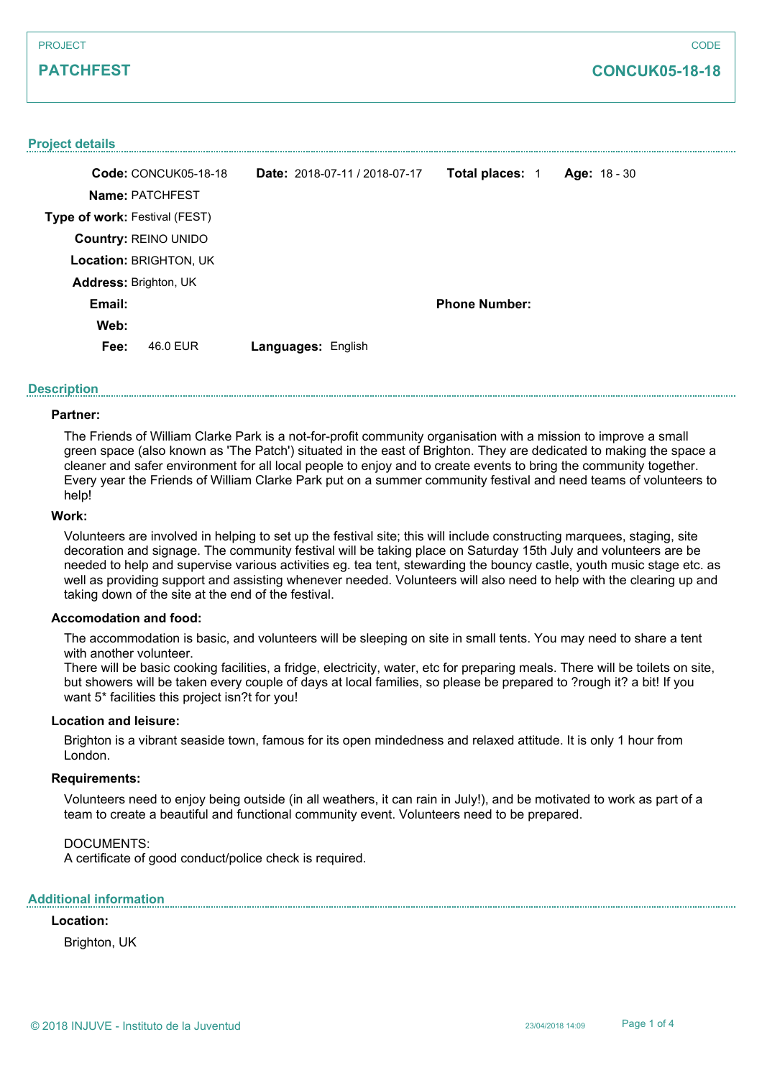## **PATCHFEST**

## **CONCUK05-18-18**

### **Project details**

|                               | Code: CONCUK05-18-18 | Date: 2018-07-11 / 2018-07-17 | Total places: 1      | Age: 18 - 30 |
|-------------------------------|----------------------|-------------------------------|----------------------|--------------|
|                               | Name: PATCHFEST      |                               |                      |              |
| Type of work: Festival (FEST) |                      |                               |                      |              |
| <b>Country: REINO UNIDO</b>   |                      |                               |                      |              |
| Location: BRIGHTON, UK        |                      |                               |                      |              |
| <b>Address: Brighton, UK</b>  |                      |                               |                      |              |
| Email:                        |                      |                               | <b>Phone Number:</b> |              |
| Web:                          |                      |                               |                      |              |
| Fee:                          | 46.0 EUR             | <b>Languages: English</b>     |                      |              |
|                               |                      |                               |                      |              |

### **Description**

## **Partner:**

The Friends of William Clarke Park is a not-for-profit community organisation with a mission to improve a small green space (also known as 'The Patch') situated in the east of Brighton. They are dedicated to making the space a cleaner and safer environment for all local people to enjoy and to create events to bring the community together. Every year the Friends of William Clarke Park put on a summer community festival and need teams of volunteers to help!

### **Work:**

Volunteers are involved in helping to set up the festival site; this will include constructing marquees, staging, site decoration and signage. The community festival will be taking place on Saturday 15th July and volunteers are be needed to help and supervise various activities eg. tea tent, stewarding the bouncy castle, youth music stage etc. as well as providing support and assisting whenever needed. Volunteers will also need to help with the clearing up and taking down of the site at the end of the festival.

### **Accomodation and food:**

The accommodation is basic, and volunteers will be sleeping on site in small tents. You may need to share a tent with another volunteer.

There will be basic cooking facilities, a fridge, electricity, water, etc for preparing meals. There will be toilets on site, but showers will be taken every couple of days at local families, so please be prepared to ?rough it? a bit! If you want 5\* facilities this project isn?t for you!

### **Location and leisure:**

Brighton is a vibrant seaside town, famous for its open mindedness and relaxed attitude. It is only 1 hour from London.

### **Requirements:**

Volunteers need to enjoy being outside (in all weathers, it can rain in July!), and be motivated to work as part of a team to create a beautiful and functional community event. Volunteers need to be prepared.

#### DOCUMENTS:

A certificate of good conduct/police check is required.

## **Additional information**

## **Location:**

Brighton, UK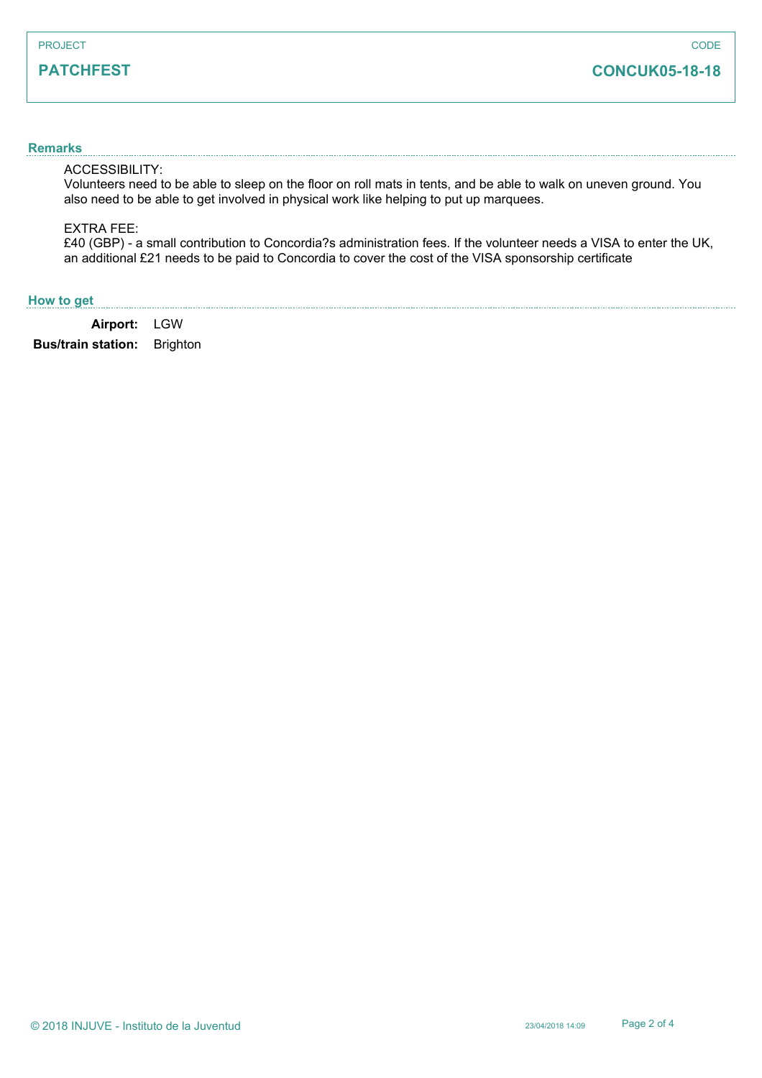## **PATCHFEST**

# **CONCUK05-18-18**

## **Remarks**

## ACCESSIBILITY:

Volunteers need to be able to sleep on the floor on roll mats in tents, and be able to walk on uneven ground. You also need to be able to get involved in physical work like helping to put up marquees.

#### EXTRA FEE:

£40 (GBP) - a small contribution to Concordia?s administration fees. If the volunteer needs a VISA to enter the UK, an additional £21 needs to be paid to Concordia to cover the cost of the VISA sponsorship certificate

## **How to get**

**Airport:** LGW

**Bus/train station:** Brighton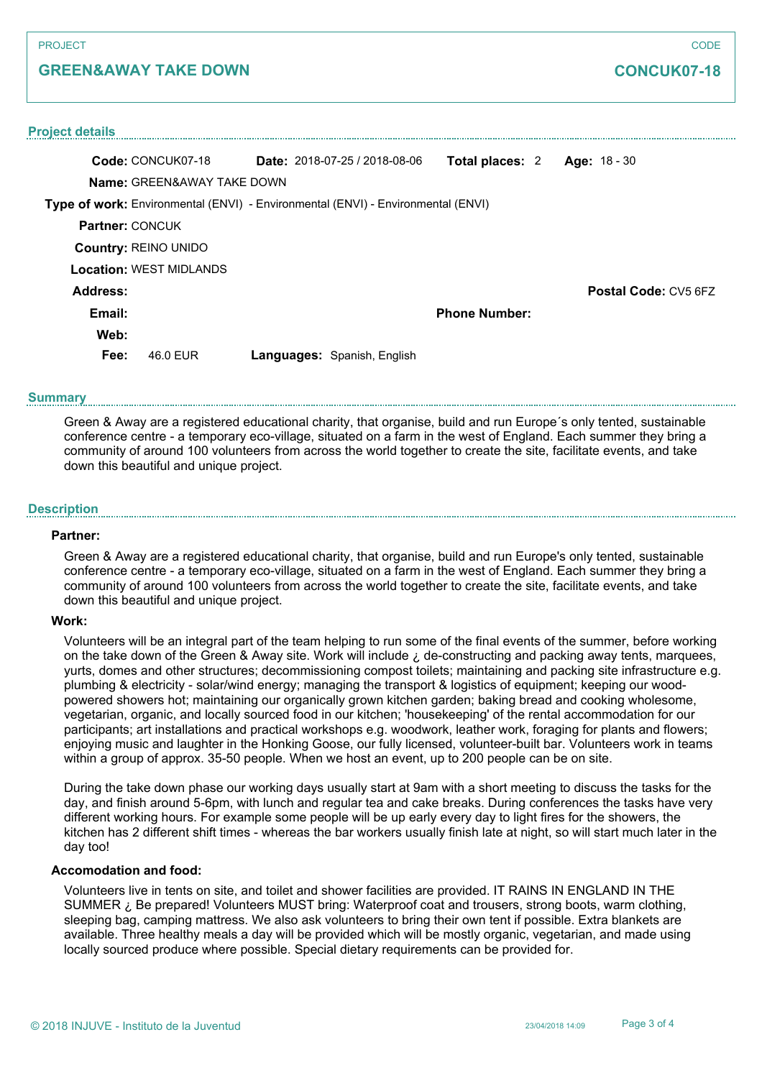## **GREEN&AWAY TAKE DOWN**

# **CONCUK07-18**

| <b>Project details</b>                                                           |                                |  |                                      |                      |  |                             |  |  |  |
|----------------------------------------------------------------------------------|--------------------------------|--|--------------------------------------|----------------------|--|-----------------------------|--|--|--|
|                                                                                  | Code: CONCUK07-18              |  | <b>Date:</b> $2018-07-25/2018-08-06$ | Total places: 2      |  | Age: 18 - 30                |  |  |  |
| <b>Name: GREEN&amp;AWAY TAKE DOWN</b>                                            |                                |  |                                      |                      |  |                             |  |  |  |
| Type of work: Environmental (ENVI) - Environmental (ENVI) - Environmental (ENVI) |                                |  |                                      |                      |  |                             |  |  |  |
| <b>Partner: CONCUK</b>                                                           |                                |  |                                      |                      |  |                             |  |  |  |
| <b>Country: REINO UNIDO</b>                                                      |                                |  |                                      |                      |  |                             |  |  |  |
|                                                                                  | <b>Location: WEST MIDLANDS</b> |  |                                      |                      |  |                             |  |  |  |
| Address:                                                                         |                                |  |                                      |                      |  | <b>Postal Code: CV5 6FZ</b> |  |  |  |
| Email:                                                                           |                                |  |                                      | <b>Phone Number:</b> |  |                             |  |  |  |
| Web:                                                                             |                                |  |                                      |                      |  |                             |  |  |  |
| Fee:                                                                             | 46.0 FUR                       |  | Languages: Spanish, English          |                      |  |                             |  |  |  |

#### **Summary**

Green & Away are a registered educational charity, that organise, build and run Europe´s only tented, sustainable conference centre - a temporary eco-village, situated on a farm in the west of England. Each summer they bring a community of around 100 volunteers from across the world together to create the site, facilitate events, and take down this beautiful and unique project.

#### **Description**

### **Partner:**

Green & Away are a registered educational charity, that organise, build and run Europe's only tented, sustainable conference centre - a temporary eco-village, situated on a farm in the west of England. Each summer they bring a community of around 100 volunteers from across the world together to create the site, facilitate events, and take down this beautiful and unique project.

### **Work:**

Volunteers will be an integral part of the team helping to run some of the final events of the summer, before working on the take down of the Green & Away site. Work will include  $\zeta$  de-constructing and packing away tents, marquees, yurts, domes and other structures; decommissioning compost toilets; maintaining and packing site infrastructure e.g. plumbing & electricity - solar/wind energy; managing the transport & logistics of equipment; keeping our woodpowered showers hot; maintaining our organically grown kitchen garden; baking bread and cooking wholesome, vegetarian, organic, and locally sourced food in our kitchen; 'housekeeping' of the rental accommodation for our participants; art installations and practical workshops e.g. woodwork, leather work, foraging for plants and flowers; enjoying music and laughter in the Honking Goose, our fully licensed, volunteer-built bar. Volunteers work in teams within a group of approx. 35-50 people. When we host an event, up to 200 people can be on site.

During the take down phase our working days usually start at 9am with a short meeting to discuss the tasks for the day, and finish around 5-6pm, with lunch and regular tea and cake breaks. During conferences the tasks have very different working hours. For example some people will be up early every day to light fires for the showers, the kitchen has 2 different shift times - whereas the bar workers usually finish late at night, so will start much later in the day too!

### **Accomodation and food:**

Volunteers live in tents on site, and toilet and shower facilities are provided. IT RAINS IN ENGLAND IN THE SUMMER *i* Be prepared! Volunteers MUST bring: Waterproof coat and trousers, strong boots, warm clothing, sleeping bag, camping mattress. We also ask volunteers to bring their own tent if possible. Extra blankets are available. Three healthy meals a day will be provided which will be mostly organic, vegetarian, and made using locally sourced produce where possible. Special dietary requirements can be provided for.